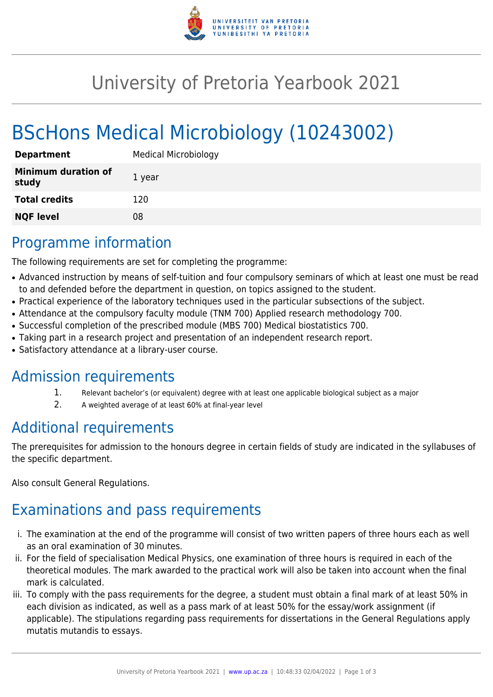

# University of Pretoria Yearbook 2021

# BScHons Medical Microbiology (10243002)

| <b>Department</b>                   | <b>Medical Microbiology</b> |
|-------------------------------------|-----------------------------|
| <b>Minimum duration of</b><br>study | 1 year                      |
| <b>Total credits</b>                | 120                         |
| <b>NQF level</b>                    | 08                          |

# Programme information

The following requirements are set for completing the programme:

- Advanced instruction by means of self-tuition and four compulsory seminars of which at least one must be read to and defended before the department in question, on topics assigned to the student.
- Practical experience of the laboratory techniques used in the particular subsections of the subject.
- Attendance at the compulsory faculty module (TNM 700) Applied research methodology 700.
- Successful completion of the prescribed module (MBS 700) Medical biostatistics 700.
- Taking part in a research project and presentation of an independent research report.
- Satisfactory attendance at a library-user course.

### Admission requirements

- 1. Relevant bachelor's (or equivalent) degree with at least one applicable biological subject as a major
- 2. A weighted average of at least 60% at final-year level

# Additional requirements

The prerequisites for admission to the honours degree in certain fields of study are indicated in the syllabuses of the specific department.

Also consult General Regulations.

# Examinations and pass requirements

- i. The examination at the end of the programme will consist of two written papers of three hours each as well as an oral examination of 30 minutes.
- ii. For the field of specialisation Medical Physics, one examination of three hours is required in each of the theoretical modules. The mark awarded to the practical work will also be taken into account when the final mark is calculated.
- iii. To comply with the pass requirements for the degree, a student must obtain a final mark of at least 50% in each division as indicated, as well as a pass mark of at least 50% for the essay/work assignment (if applicable). The stipulations regarding pass requirements for dissertations in the General Regulations apply mutatis mutandis to essays.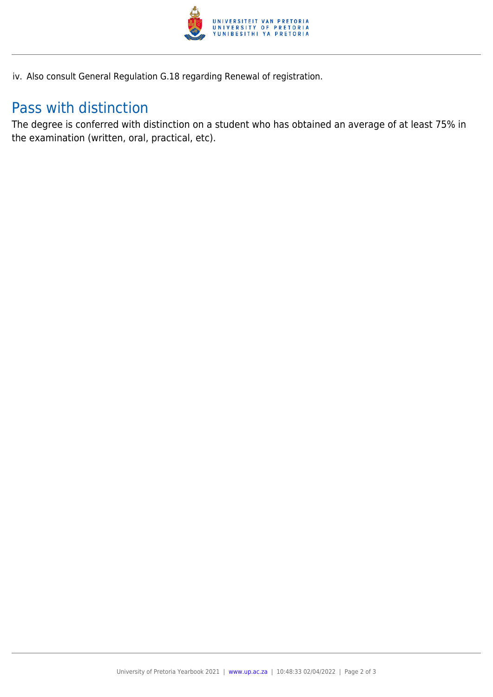

iv. Also consult General Regulation G.18 regarding Renewal of registration.

## Pass with distinction

The degree is conferred with distinction on a student who has obtained an average of at least 75% in the examination (written, oral, practical, etc).